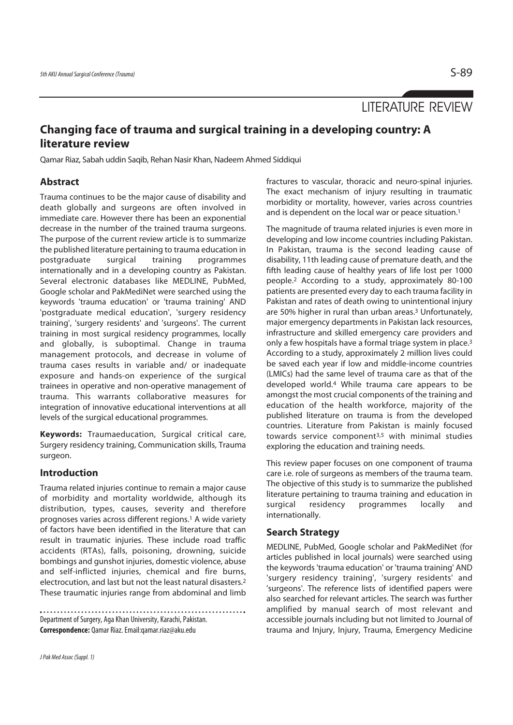LITERATURE REVIEW

# **Changing face of trauma and surgical training in a developing country: A literature review**

Qamar Riaz, Sabah uddin Saqib, Rehan Nasir Khan, Nadeem Ahmed Siddiqui

## **Abstract**

Trauma continues to be the major cause of disability and death globally and surgeons are often involved in immediate care. However there has been an exponential decrease in the number of the trained trauma surgeons. The purpose of the current review article is to summarize the published literature pertaining to trauma education in postgraduate surgical training programmes internationally and in a developing country as Pakistan. Several electronic databases like MEDLINE, PubMed, Google scholar and PakMediNet were searched using the keywords 'trauma education' or 'trauma training' AND 'postgraduate medical education', 'surgery residency training', 'surgery residents' and 'surgeons'. The current training in most surgical residency programmes, locally and globally, is suboptimal. Change in trauma management protocols, and decrease in volume of trauma cases results in variable and/ or inadequate exposure and hands-on experience of the surgical trainees in operative and non-operative management of trauma. This warrants collaborative measures for integration of innovative educational interventions at all levels of the surgical educational programmes.

**Keywords:** Traumaeducation, Surgical critical care, Surgery residency training, Communication skills, Trauma surgeon.

## **Introduction**

Trauma related injuries continue to remain a major cause of morbidity and mortality worldwide, although its distribution, types, causes, severity and therefore prognoses varies across different regions.1 A wide variety of factors have been identified in the literature that can result in traumatic injuries. These include road traffic accidents (RTAs), falls, poisoning, drowning, suicide bombings and gunshot injuries, domestic violence, abuse and self-inflicted injuries, chemical and fire burns, electrocution, and last but not the least natural disasters.2 These traumatic injuries range from abdominal and limb

Department of Surgery, Aga Khan University, Karachi, Pakistan. **Correspondence:** Qamar Riaz. Email:qamar.riaz@aku.edu

fractures to vascular, thoracic and neuro-spinal injuries. The exact mechanism of injury resulting in traumatic morbidity or mortality, however, varies across countries and is dependent on the local war or peace situation.<sup>1</sup>

The magnitude of trauma related injuries is even more in developing and low income countries including Pakistan. In Pakistan, trauma is the second leading cause of disability, 11th leading cause of premature death, and the fifth leading cause of healthy years of life lost per 1000 people.2 According to a study, approximately 80-100 patients are presented every day to each trauma facility in Pakistan and rates of death owing to unintentional injury are 50% higher in rural than urban areas.3 Unfortunately, major emergency departments in Pakistan lack resources, infrastructure and skilled emergency care providers and only a few hospitals have a formal triage system in place.3 According to a study, approximately 2 million lives could be saved each year if low and middle-income countries (LMICs) had the same level of trauma care as that of the developed world.4 While trauma care appears to be amongst the most crucial components of the training and education of the health workforce, majority of the published literature on trauma is from the developed countries. Literature from Pakistan is mainly focused towards service component<sup>3,5</sup> with minimal studies exploring the education and training needs.

This review paper focuses on one component of trauma care i.e. role of surgeons as members of the trauma team. The objective of this study is to summarize the published literature pertaining to trauma training and education in surgical residency programmes locally and internationally.

## **Search Strategy**

MEDLINE, PubMed, Google scholar and PakMediNet (for articles published in local journals) were searched using the keywords 'trauma education' or 'trauma training' AND 'surgery residency training', 'surgery residents' and 'surgeons'. The reference lists of identified papers were also searched for relevant articles. The search was further amplified by manual search of most relevant and accessible journals including but not limited to Journal of trauma and Injury, Injury, Trauma, Emergency Medicine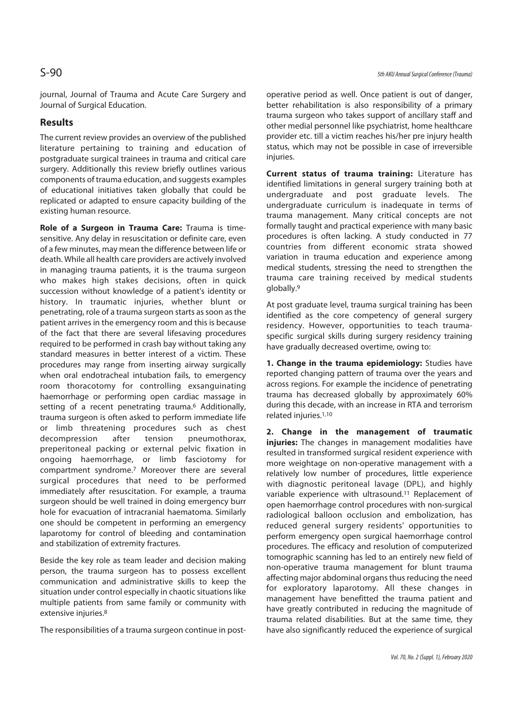journal, Journal of Trauma and Acute Care Surgery and Journal of Surgical Education.

## **Results**

The current review provides an overview of the published literature pertaining to training and education of postgraduate surgical trainees in trauma and critical care surgery. Additionally this review briefly outlines various components of trauma education, and suggests examples of educational initiatives taken globally that could be replicated or adapted to ensure capacity building of the existing human resource.

**Role of a Surgeon in Trauma Care:** Trauma is timesensitive. Any delay in resuscitation or definite care, even of a few minutes, may mean the difference between life or death. While all health care providers are actively involved in managing trauma patients, it is the trauma surgeon who makes high stakes decisions, often in quick succession without knowledge of a patient's identity or history. In traumatic injuries, whether blunt or penetrating, role of a trauma surgeon starts as soon as the patient arrives in the emergency room and this is because of the fact that there are several lifesaving procedures required to be performed in crash bay without taking any standard measures in better interest of a victim. These procedures may range from inserting airway surgically when oral endotracheal intubation fails, to emergency room thoracotomy for controlling exsanguinating haemorrhage or performing open cardiac massage in setting of a recent penetrating trauma.<sup>6</sup> Additionally, trauma surgeon is often asked to perform immediate life or limb threatening procedures such as chest decompression after tension pneumothorax, preperitoneal packing or external pelvic fixation in ongoing haemorrhage, or limb fasciotomy for compartment syndrome.7 Moreover there are several surgical procedures that need to be performed immediately after resuscitation. For example, a trauma surgeon should be well trained in doing emergency burr hole for evacuation of intracranial haematoma. Similarly one should be competent in performing an emergency laparotomy for control of bleeding and contamination and stabilization of extremity fractures.

Beside the key role as team leader and decision making person, the trauma surgeon has to possess excellent communication and administrative skills to keep the situation under control especially in chaotic situations like multiple patients from same family or community with extensive injuries.8

The responsibilities of a trauma surgeon continue in post-

operative period as well. Once patient is out of danger, better rehabilitation is also responsibility of a primary trauma surgeon who takes support of ancillary staff and other medial personnel like psychiatrist, home healthcare provider etc. till a victim reaches his/her pre injury health status, which may not be possible in case of irreversible injuries.

**Current status of trauma training:** Literature has identified limitations in general surgery training both at undergraduate and post graduate levels. The undergraduate curriculum is inadequate in terms of trauma management. Many critical concepts are not formally taught and practical experience with many basic procedures is often lacking. A study conducted in 77 countries from different economic strata showed variation in trauma education and experience among medical students, stressing the need to strengthen the trauma care training received by medical students globally.9

At post graduate level, trauma surgical training has been identified as the core competency of general surgery residency. However, opportunities to teach traumaspecific surgical skills during surgery residency training have gradually decreased overtime, owing to:

**1. Change in the trauma epidemiology:** Studies have reported changing pattern of trauma over the years and across regions. For example the incidence of penetrating trauma has decreased globally by approximately 60% during this decade, with an increase in RTA and terrorism related injuries.1,10

**2. Change in the management of traumatic injuries:** The changes in management modalities have resulted in transformed surgical resident experience with more weightage on non-operative management with a relatively low number of procedures, little experience with diagnostic peritoneal lavage (DPL), and highly variable experience with ultrasound.<sup>11</sup> Replacement of open haemorrhage control procedures with non-surgical radiological balloon occlusion and embolization, has reduced general surgery residents' opportunities to perform emergency open surgical haemorrhage control procedures. The efficacy and resolution of computerized tomographic scanning has led to an entirely new field of non-operative trauma management for blunt trauma affecting major abdominal organs thus reducing the need for exploratory laparotomy. All these changes in management have benefitted the trauma patient and have greatly contributed in reducing the magnitude of trauma related disabilities. But at the same time, they have also significantly reduced the experience of surgical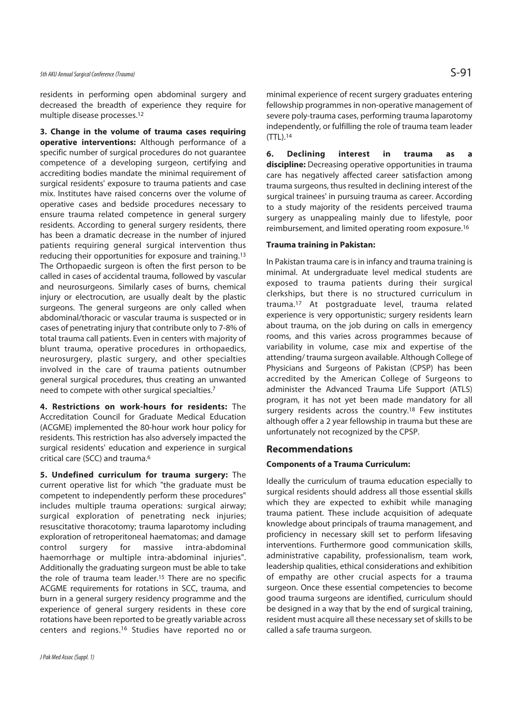## 5th AKU Annual Surgical Conference (Trauma)  $S-91$

residents in performing open abdominal surgery and decreased the breadth of experience they require for multiple disease processes.12

**3. Change in the volume of trauma cases requiring operative interventions:** Although performance of a specific number of surgical procedures do not guarantee competence of a developing surgeon, certifying and accrediting bodies mandate the minimal requirement of surgical residents' exposure to trauma patients and case mix. Institutes have raised concerns over the volume of operative cases and bedside procedures necessary to ensure trauma related competence in general surgery residents. According to general surgery residents, there has been a dramatic decrease in the number of injured patients requiring general surgical intervention thus reducing their opportunities for exposure and training.13 The Orthopaedic surgeon is often the first person to be called in cases of accidental trauma, followed by vascular and neurosurgeons. Similarly cases of burns, chemical injury or electrocution, are usually dealt by the plastic surgeons. The general surgeons are only called when abdominal/thoracic or vascular trauma is suspected or in cases of penetrating injury that contribute only to 7-8% of total trauma call patients. Even in centers with majority of blunt trauma, operative procedures in orthopaedics, neurosurgery, plastic surgery, and other specialties involved in the care of trauma patients outnumber general surgical procedures, thus creating an unwanted need to compete with other surgical specialties.7

**4. Restrictions on work-hours for residents:** The Accreditation Council for Graduate Medical Education (ACGME) implemented the 80-hour work hour policy for residents. This restriction has also adversely impacted the surgical residents' education and experience in surgical critical care (SCC) and trauma.6

**5. Undefined curriculum for trauma surgery:** The current operative list for which "the graduate must be competent to independently perform these procedures" includes multiple trauma operations: surgical airway; surgical exploration of penetrating neck injuries; resuscitative thoracotomy; trauma laparotomy including exploration of retroperitoneal haematomas; and damage control surgery for massive intra-abdominal haemorrhage or multiple intra-abdominal injuries". Additionally the graduating surgeon must be able to take the role of trauma team leader.15 There are no specific ACGME requirements for rotations in SCC, trauma, and burn in a general surgery residency programme and the experience of general surgery residents in these core rotations have been reported to be greatly variable across centers and regions.16 Studies have reported no or

minimal experience of recent surgery graduates entering fellowship programmes in non-operative management of severe poly-trauma cases, performing trauma laparotomy independently, or fulfilling the role of trauma team leader (TTL).14

**6. Declining interest in trauma as discipline:** Decreasing operative opportunities in trauma care has negatively affected career satisfaction among trauma surgeons, thus resulted in declining interest of the surgical trainees' in pursuing trauma as career. According to a study majority of the residents perceived trauma surgery as unappealing mainly due to lifestyle, poor reimbursement, and limited operating room exposure.16

## **Trauma training in Pakistan:**

In Pakistan trauma care is in infancy and trauma training is minimal. At undergraduate level medical students are exposed to trauma patients during their surgical clerkships, but there is no structured curriculum in trauma.17 At postgraduate level, trauma related experience is very opportunistic; surgery residents learn about trauma, on the job during on calls in emergency rooms, and this varies across programmes because of variability in volume, case mix and expertise of the attending/ trauma surgeon available. Although College of Physicians and Surgeons of Pakistan (CPSP) has been accredited by the American College of Surgeons to administer the Advanced Trauma Life Support (ATLS) program, it has not yet been made mandatory for all surgery residents across the country.<sup>18</sup> Few institutes although offer a 2 year fellowship in trauma but these are unfortunately not recognized by the CPSP.

### **Recommendations**

### **Components of a Trauma Curriculum:**

Ideally the curriculum of trauma education especially to surgical residents should address all those essential skills which they are expected to exhibit while managing trauma patient. These include acquisition of adequate knowledge about principals of trauma management, and proficiency in necessary skill set to perform lifesaving interventions. Furthermore good communication skills, administrative capability, professionalism, team work, leadership qualities, ethical considerations and exhibition of empathy are other crucial aspects for a trauma surgeon. Once these essential competencies to become good trauma surgeons are identified, curriculum should be designed in a way that by the end of surgical training, resident must acquire all these necessary set of skills to be called a safe trauma surgeon.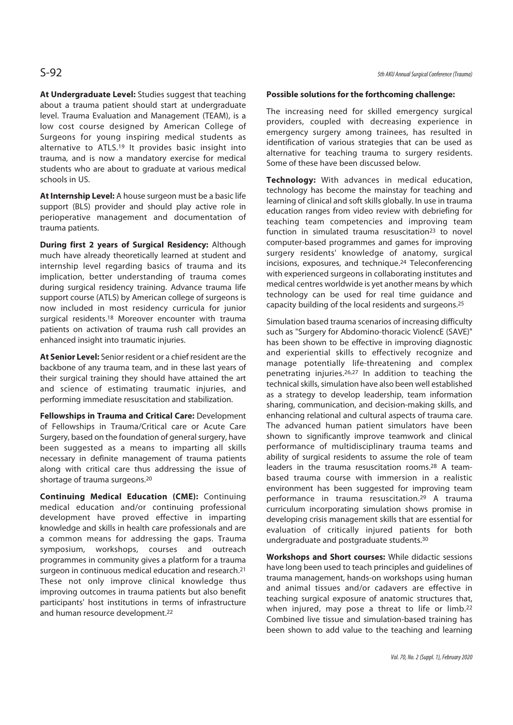**At Undergraduate Level:** Studies suggest that teaching about a trauma patient should start at undergraduate level. Trauma Evaluation and Management (TEAM), is a low cost course designed by American College of Surgeons for young inspiring medical students as alternative to ATLS.19 It provides basic insight into trauma, and is now a mandatory exercise for medical students who are about to graduate at various medical schools in US.

**At Internship Level:** A house surgeon must be a basic life support (BLS) provider and should play active role in perioperative management and documentation of trauma patients.

**During first 2 years of Surgical Residency:** Although much have already theoretically learned at student and internship level regarding basics of trauma and its implication, better understanding of trauma comes during surgical residency training. Advance trauma life support course (ATLS) by American college of surgeons is now included in most residency curricula for junior surgical residents.<sup>18</sup> Moreover encounter with trauma patients on activation of trauma rush call provides an enhanced insight into traumatic injuries.

**At Senior Level:** Senior resident or a chief resident are the backbone of any trauma team, and in these last years of their surgical training they should have attained the art and science of estimating traumatic injuries, and performing immediate resuscitation and stabilization.

**Fellowships in Trauma and Critical Care:** Development of Fellowships in Trauma/Critical care or Acute Care Surgery, based on the foundation of general surgery, have been suggested as a means to imparting all skills necessary in definite management of trauma patients along with critical care thus addressing the issue of shortage of trauma surgeons.20

**Continuing Medical Education (CME):** Continuing medical education and/or continuing professional development have proved effective in imparting knowledge and skills in health care professionals and are a common means for addressing the gaps. Trauma symposium, workshops, courses and outreach programmes in community gives a platform for a trauma surgeon in continuous medical education and research.21 These not only improve clinical knowledge thus improving outcomes in trauma patients but also benefit participants' host institutions in terms of infrastructure and human resource development.22

### **Possible solutions for the forthcoming challenge:**

The increasing need for skilled emergency surgical providers, coupled with decreasing experience in emergency surgery among trainees, has resulted in identification of various strategies that can be used as alternative for teaching trauma to surgery residents. Some of these have been discussed below.

**Technology:** With advances in medical education, technology has become the mainstay for teaching and learning of clinical and soft skills globally. In use in trauma education ranges from video review with debriefing for teaching team competencies and improving team function in simulated trauma resuscitation<sup>23</sup> to novel computer-based programmes and games for improving surgery residents' knowledge of anatomy, surgical incisions, exposures, and technique.24 Teleconferencing with experienced surgeons in collaborating institutes and medical centres worldwide is yet another means by which technology can be used for real time guidance and capacity building of the local residents and surgeons.25

Simulation based trauma scenarios of increasing difficulty such as "Surgery for Abdomino-thoracic ViolencE (SAVE)" has been shown to be effective in improving diagnostic and experiential skills to effectively recognize and manage potentially life-threatening and complex penetrating injuries.26,27 In addition to teaching the technical skills, simulation have also been well established as a strategy to develop leadership, team information sharing, communication, and decision-making skills, and enhancing relational and cultural aspects of trauma care. The advanced human patient simulators have been shown to significantly improve teamwork and clinical performance of multidisciplinary trauma teams and ability of surgical residents to assume the role of team leaders in the trauma resuscitation rooms.28 A teambased trauma course with immersion in a realistic environment has been suggested for improving team performance in trauma resuscitation.29 A trauma curriculum incorporating simulation shows promise in developing crisis management skills that are essential for evaluation of critically injured patients for both undergraduate and postgraduate students.30

**Workshops and Short courses:** While didactic sessions have long been used to teach principles and guidelines of trauma management, hands-on workshops using human and animal tissues and/or cadavers are effective in teaching surgical exposure of anatomic structures that, when injured, may pose a threat to life or limb.<sup>22</sup> Combined live tissue and simulation-based training has been shown to add value to the teaching and learning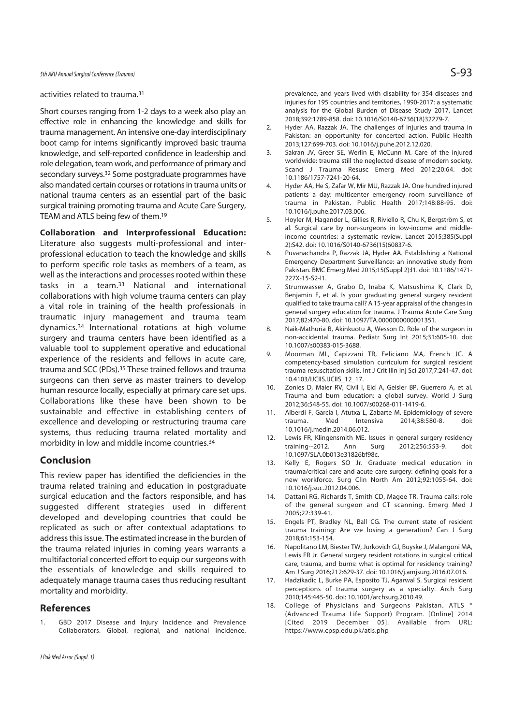### activities related to trauma.31

Short courses ranging from 1-2 days to a week also play an effective role in enhancing the knowledge and skills for trauma management. An intensive one-day interdisciplinary boot camp for interns significantly improved basic trauma knowledge, and self-reported confidence in leadership and role delegation, team work, and performance of primary and secondary surveys.32 Some postgraduate programmes have also mandated certain courses or rotations in trauma units or national trauma centers as an essential part of the basic surgical training promoting trauma and Acute Care Surgery, TEAM and ATLS being few of them.19

**Collaboration and Interprofessional Education:** Literature also suggests multi-professional and interprofessional education to teach the knowledge and skills to perform specific role tasks as members of a team, as well as the interactions and processes rooted within these tasks in a team.33 National and international collaborations with high volume trauma centers can play a vital role in training of the health professionals in traumatic injury management and trauma team dynamics.34 International rotations at high volume surgery and trauma centers have been identified as a valuable tool to supplement operative and educational experience of the residents and fellows in acute care, trauma and SCC (PDs).35 These trained fellows and trauma surgeons can then serve as master trainers to develop human resource locally, especially at primary care set ups. Collaborations like these have been shown to be sustainable and effective in establishing centers of excellence and developing or restructuring trauma care systems, thus reducing trauma related mortality and morbidity in low and middle income countries.34

## **Conclusion**

This review paper has identified the deficiencies in the trauma related training and education in postgraduate surgical education and the factors responsible, and has suggested different strategies used in different developed and developing countries that could be replicated as such or after contextual adaptations to address this issue. The estimated increase in the burden of the trauma related injuries in coming years warrants a multifactorial concerted effort to equip our surgeons with the essentials of knowledge and skills required to adequately manage trauma cases thus reducing resultant mortality and morbidity.

## **References**

1. GBD 2017 Disease and Injury Incidence and Prevalence Collaborators. Global, regional, and national incidence, prevalence, and years lived with disability for 354 diseases and injuries for 195 countries and territories, 1990-2017; a systematic analysis for the Global Burden of Disease Study 2017. Lancet 2018;392:1789-858. doi: 10.1016/S0140-6736(18)32279-7.

- 2. Hyder AA, Razzak JA. The challenges of injuries and trauma in Pakistan: an opportunity for concerted action. Public Health 2013;127:699-703. doi: 10.1016/j.puhe.2012.12.020.
- 3. Sakran JV, Greer SE, Werlin E, McCunn M. Care of the injured worldwide: trauma still the neglected disease of modern society. Scand J Trauma Resusc Emerg Med 2012;20:64. doi: 10.1186/1757-7241-20-64.
- 4. Hyder AA, He S, Zafar W, Mir MU, Razzak JA. One hundred injured patients a day: multicenter emergency room surveillance of trauma in Pakistan. Public Health 2017;148:88-95. doi: 10.1016/j.puhe.2017.03.006.
- 5. Hoyler M, Hagander L, Gillies R, Riviello R, Chu K, Bergström S, et al. Surgical care by non-surgeons in low-income and middleincome countries: a systematic review. Lancet 2015;385(Suppl 2):S42. doi: 10.1016/S0140-6736(15)60837-6.
- 6. Puvanachandra P, Razzak JA, Hyder AA. Establishing a National Emergency Department Surveillance: an innovative study from Pakistan. BMC Emerg Med 2015;15(Suppl 2):I1. doi: 10.1186/1471- 227X-15-S2-I1.
- 7. Strumwasser A, Grabo D, Inaba K, Matsushima K, Clark D, Benjamin E, et al. Is your graduating general surgery resident qualified to take trauma call? A 15-year appraisal of the changes in general surgery education for trauma. J Trauma Acute Care Surg 2017;82:470-80. doi: 10.1097/TA.0000000000001351.
- 8. Naik-Mathuria B, Akinkuotu A, Wesson D. Role of the surgeon in non-accidental trauma. Pediatr Surg Int 2015;31:605-10. doi: 10.1007/s00383-015-3688.
- 9. Moorman ML, Capizzani TR, Feliciano MA, French JC. A competency-based simulation curriculum for surgical resident trauma resuscitation skills. Int J Crit Illn Inj Sci 2017;7:241-47. doi: 10.4103/IJCIIS.IJCIIS\_12\_17.
- 10. Zonies D, Maier RV, Civil I, Eid A, Geisler BP, Guerrero A, et al. Trauma and burn education: a global survey. World J Surg 2012;36:548-55. doi: 10.1007/s00268-011-1419-6.
- 11. Alberdi F, García I, Atutxa L, Zabarte M. Epidemiology of severe trauma. Med Intensiva 2014;38:580-8. doi: 10.1016/j.medin.2014.06.012.
- 12. Lewis FR, Klingensmith ME. Issues in general surgery residency training--2012. Ann Surg 2012;256:553-9. doi: 10.1097/SLA.0b013e31826bf98c.
- 13. Kelly E, Rogers SO Jr. Graduate medical education in trauma/critical care and acute care surgery: defining goals for a new workforce. Surg Clin North Am 2012;92:1055-64. doi: 10.1016/j.suc.2012.04.006.
- 14. Dattani RG, Richards T, Smith CD, Magee TR. Trauma calls: role of the general surgeon and CT scanning. Emerg Med J 2005;22:339-41.
- 15. Engels PT, Bradley NL, Ball CG. The current state of resident trauma training: Are we losing a generation? Can J Surg 2018;61:153-154.
- 16. Napolitano LM, Biester TW, Jurkovich GJ, Buyske J, Malangoni MA, Lewis FR Jr. General surgery resident rotations in surgical critical care, trauma, and burns: what is optimal for residency training? Am J Surg 2016;212:629-37. doi: 10.1016/j.amjsurg.2016.07.016.
- 17. Hadzikadic L, Burke PA, Esposito TJ, Agarwal S. Surgical resident perceptions of trauma surgery as a specialty. Arch Surg 2010;145:445-50. doi: 10.1001/archsurg.2010.49.
- 18. College of Physicians and Surgeons Pakistan. ATLS ® (Advanced Trauma Life Support) Program. [Online] 2014 [Cited 2019 December 05]. Available from URL: https://www.cpsp.edu.pk/atls.php